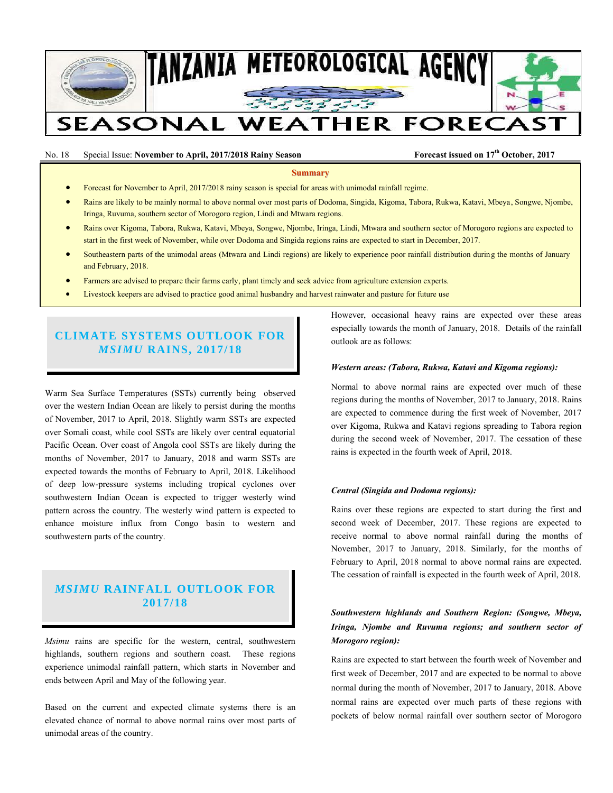

## No. 18 Special Issue: **November to April, 2017/2018 Rainy Season Forecast issued on 17th October, 2017**

#### **Summary**

- Forecast for November to April, 2017/2018 rainy season is special for areas with unimodal rainfall regime.
- Rains are likely to be mainly normal to above normal over most parts of Dodoma, Singida, Kigoma, Tabora, Rukwa, Katavi, Mbeya, Songwe, Njombe, Iringa, Ruvuma, southern sector of Morogoro region, Lindi and Mtwara regions.
- Rains over Kigoma, Tabora, Rukwa, Katavi, Mbeya, Songwe, Njombe, Iringa, Lindi, Mtwara and southern sector of Morogoro regions are expected to start in the first week of November, while over Dodoma and Singida regions rains are expected to start in December, 2017.
- Southeastern parts of the unimodal areas (Mtwara and Lindi regions) are likely to experience poor rainfall distribution during the months of January and February, 2018.
- Farmers are advised to prepare their farms early, plant timely and seek advice from agriculture extension experts.
- Livestock keepers are advised to practice good animal husbandry and harvest rainwater and pasture for future use

# **CLIMATE SYSTEMS OUTLOOK FOR**  *MSIMU* **RAINS, 2017/18**

Warm Sea Surface Temperatures (SSTs) currently being observed over the western Indian Ocean are likely to persist during the months of November, 2017 to April, 2018. Slightly warm SSTs are expected over Somali coast, while cool SSTs are likely over central equatorial Pacific Ocean. Over coast of Angola cool SSTs are likely during the months of November, 2017 to January, 2018 and warm SSTs are expected towards the months of February to April, 2018. Likelihood of deep low-pressure systems including tropical cyclones over southwestern Indian Ocean is expected to trigger westerly wind pattern across the country. The westerly wind pattern is expected to enhance moisture influx from Congo basin to western and southwestern parts of the country.

# *MSIMU* **RAINFALL OUTLOOK FOR 2017/18**

*Msimu* rains are specific for the western, central, southwestern highlands, southern regions and southern coast. These regions experience unimodal rainfall pattern, which starts in November and ends between April and May of the following year.

Based on the current and expected climate systems there is an elevated chance of normal to above normal rains over most parts of unimodal areas of the country.

However, occasional heavy rains are expected over these areas especially towards the month of January, 2018. Details of the rainfall outlook are as follows:

### *Western areas: (Tabora, Rukwa, Katavi and Kigoma regions):*

Normal to above normal rains are expected over much of these regions during the months of November, 2017 to January, 2018. Rains are expected to commence during the first week of November, 2017 over Kigoma, Rukwa and Katavi regions spreading to Tabora region during the second week of November, 2017. The cessation of these rains is expected in the fourth week of April, 2018.

#### *Central (Singida and Dodoma regions):*

Rains over these regions are expected to start during the first and second week of December, 2017. These regions are expected to receive normal to above normal rainfall during the months of November, 2017 to January, 2018. Similarly, for the months of February to April, 2018 normal to above normal rains are expected. The cessation of rainfall is expected in the fourth week of April, 2018.

# *Southwestern highlands and Southern Region: (Songwe, Mbeya, Iringa, Njombe and Ruvuma regions; and southern sector of Morogoro region):*

Rains are expected to start between the fourth week of November and first week of December, 2017 and are expected to be normal to above normal during the month of November, 2017 to January, 2018. Above normal rains are expected over much parts of these regions with pockets of below normal rainfall over southern sector of Morogoro